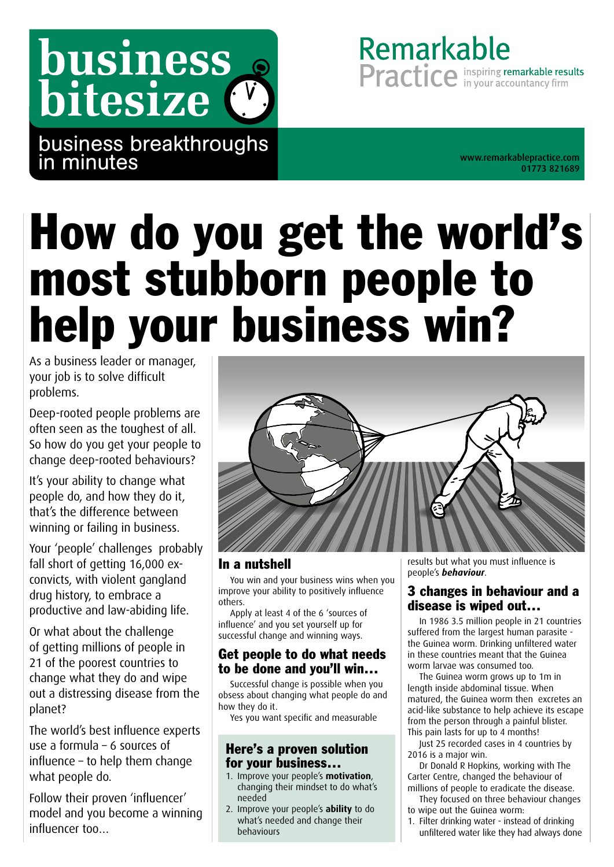## business bitesize (

business breakthroughs in minutes

01773 821689

Remarkable

Practice in your accountancy firm

# How do you get the world's most stubborn people to help your business win?

As a business leader or manager, your job is to solve difficult problems.

Deep-rooted people problems are often seen as the toughest of all. So how do you get your people to change deep-rooted behaviours?

It's your ability to change what people do, and how they do it, that's the difference between winning or failing in business.

Your 'people' challenges probably fall short of getting 16,000 exconvicts, with violent gangland drug history, to embrace a productive and law-abiding life.

Or what about the challenge of getting millions of people in 21 of the poorest countries to change what they do and wipe out a distressing disease from the planet?

The world's best influence experts use a formula – 6 sources of influence – to help them change what people do.

Follow their proven 'influencer' model and you become a winning influencer too…



#### In a nutshell

You win and your business wins when you improve your ability to positively influence others.

Apply at least 4 of the 6 'sources of influence' and you set yourself up for successful change and winning ways.

#### Get people to do what needs to be done and you'll win…

Successful change is possible when you obsess about changing what people do and how they do it.

Yes you want specific and measurable

#### Here's a proven solution for your business…

- 1. Improve your people's **motivation**, changing their mindset to do what's needed
- 2. Improve your people's **ability** to do what's needed and change their behaviours

results but what you must influence is people's *behaviour*.

#### 3 changes in behaviour and a disease is wiped out…

In 1986 3.5 million people in 21 countries suffered from the largest human parasite the Guinea worm. Drinking unfiltered water in these countries meant that the Guinea worm larvae was consumed too.

The Guinea worm grows up to 1m in length inside abdominal tissue. When matured, the Guinea worm then excretes an acid-like substance to help achieve its escape from the person through a painful blister. This pain lasts for up to 4 months!

Just 25 recorded cases in 4 countries by 2016 is a major win.

Dr Donald R Hopkins, working with The Carter Centre, changed the behaviour of millions of people to eradicate the disease.

- They focused on three behaviour changes to wipe out the Guinea worm:
- 1. Filter drinking water instead of drinking unfiltered water like they had always done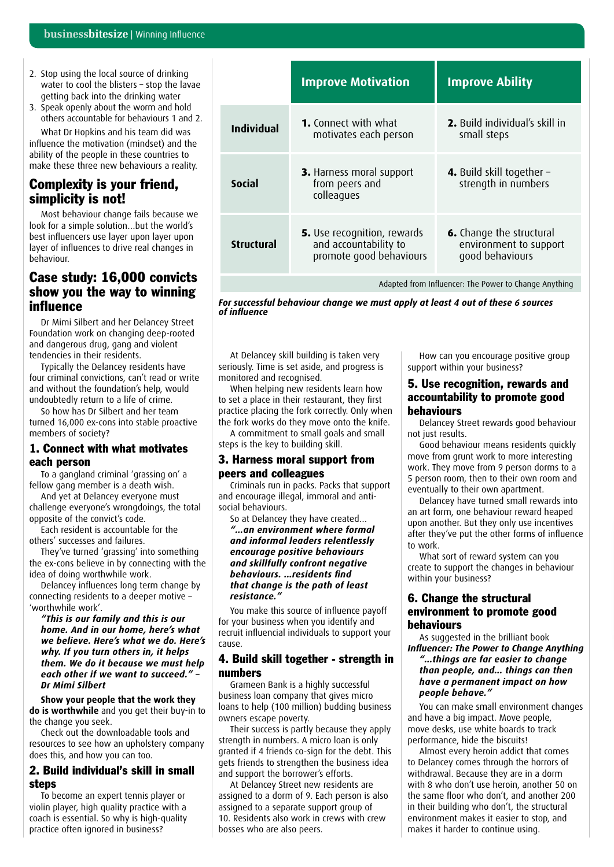- 2. Stop using the local source of drinking water to cool the blisters - stop the lavae getting back into the drinking water
- 3. Speak openly about the worm and hold others accountable for behaviours 1 and 2.

What Dr Hopkins and his team did was influence the motivation (mindset) and the ability of the people in these countries to make these three new behaviours a reality.

#### Complexity is your friend, simplicity is not!

Most behaviour change fails because we look for a simple solution…but the world's best influencers use layer upon layer upon layer of influences to drive real changes in behaviour.

#### Case study: 16,000 convicts show you the way to winning influence

Dr Mimi Silbert and her Delancey Street Foundation work on changing deep-rooted and dangerous drug, gang and violent tendencies in their residents.

Typically the Delancey residents have four criminal convictions, can't read or write and without the foundation's help, would undoubtedly return to a life of crime.

So how has Dr Silbert and her team turned 16,000 ex-cons into stable proactive members of society?

#### 1. Connect with what motivates each person

To a gangland criminal 'grassing on' a fellow gang member is a death wish.

And yet at Delancey everyone must challenge everyone's wrongdoings, the total opposite of the convict's code.

Each resident is accountable for the others' successes and failures.

They've turned 'grassing' into something the ex-cons believe in by connecting with the idea of doing worthwhile work.

Delancey influences long term change by connecting residents to a deeper motive – 'worthwhile work'.

*"This is our family and this is our home. And in our home, here's what we believe. Here's what we do. Here's why. If you turn others in, it helps them. We do it because we must help each other if we want to succeed." – Dr Mimi Silbert*

**Show your people that the work they do is worthwhile** and you get their buy-in to the change you seek.

Check out the downloadable tools and resources to see how an upholstery company does this, and how you can too.

#### 2. Build individual's skill in small steps

To become an expert tennis player or violin player, high quality practice with a coach is essential. So why is high-quality practice often ignored in business?

|                   | <b>Improve Motivation</b>                                                              | <b>Improve Ability</b>                                                       |
|-------------------|----------------------------------------------------------------------------------------|------------------------------------------------------------------------------|
| Individual        | <b>1.</b> Connect with what<br>motivates each person                                   | <b>2.</b> Build individual's skill in<br>small steps                         |
| <b>Social</b>     | 3. Harness moral support<br>from peers and<br>colleagues                               | 4. Build skill together -<br>strength in numbers                             |
| <b>Structural</b> | <b>5.</b> Use recognition, rewards<br>and accountability to<br>promote good behaviours | <b>6.</b> Change the structural<br>environment to support<br>good behaviours |
|                   |                                                                                        |                                                                              |

Adapted from Influencer: The Power to Change Anything

*For successful behaviour change we must apply at least 4 out of these 6 sources of influence*

At Delancey skill building is taken very seriously. Time is set aside, and progress is monitored and recognised.

When helping new residents learn how to set a place in their restaurant, they first practice placing the fork correctly. Only when the fork works do they move onto the knife.

A commitment to small goals and small steps is the key to building skill.

#### 3. Harness moral support from peers and colleagues

Criminals run in packs. Packs that support and encourage illegal, immoral and antisocial behaviours.

So at Delancey they have created… *"…an environment where formal and informal leaders relentlessly encourage positive behaviours and skillfully confront negative behaviours. …residents find that change is the path of least resistance."*

You make this source of influence payoff for your business when you identify and recruit influencial individuals to support your cause.

#### 4. Build skill together - strength in numbers

Grameen Bank is a highly successful business loan company that gives micro loans to help (100 million) budding business owners escape poverty.

Their success is partly because they apply strength in numbers. A micro loan is only granted if 4 friends co-sign for the debt. This gets friends to strengthen the business idea and support the borrower's efforts.

At Delancey Street new residents are assigned to a dorm of 9. Each person is also assigned to a separate support group of 10. Residents also work in crews with crew bosses who are also peers.

How can you encourage positive group support within your business?

#### 5. Use recognition, rewards and accountability to promote good behaviours

Delancey Street rewards good behaviour not just results.

Good behaviour means residents quickly move from grunt work to more interesting work. They move from 9 person dorms to a 5 person room, then to their own room and eventually to their own apartment.

Delancey have turned small rewards into an art form, one behaviour reward heaped upon another. But they only use incentives after they've put the other forms of influence to work.

What sort of reward system can you create to support the changes in behaviour within your business?

#### 6. Change the structural environment to promote good behaviours

As suggested in the brilliant book *Influencer: The Power to Change Anything*

*"…things are far easier to change than people, and… things can then have a permanent impact on how people behave."*

You can make small environment changes and have a big impact. Move people, move desks, use white boards to track performance, hide the biscuits!

Almost every heroin addict that comes to Delancey comes through the horrors of withdrawal. Because they are in a dorm with 8 who don't use heroin, another 50 on the same floor who don't, and another 200 in their building who don't, the structural environment makes it easier to stop, and makes it harder to continue using.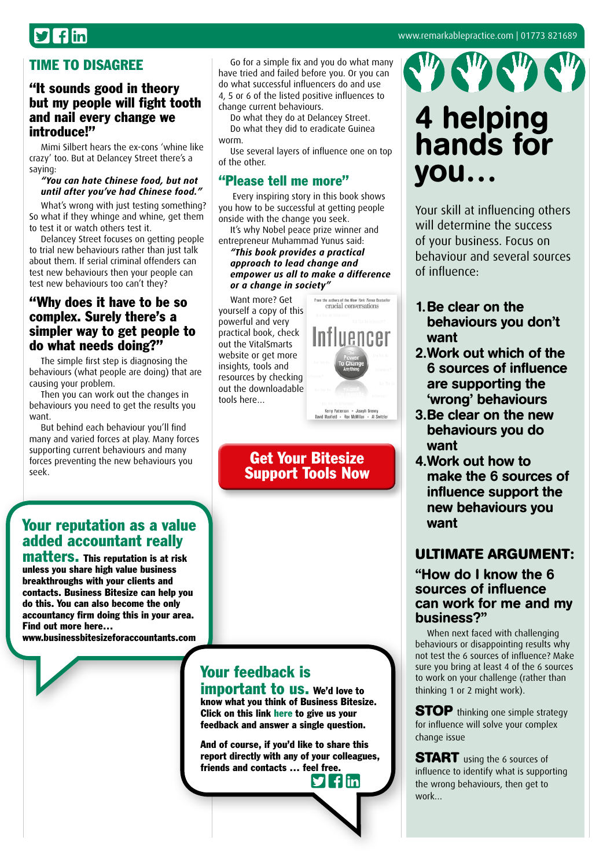## $\mathcal{I}$  flin

#### TIME TO DISAGREE

#### "It sounds good in theory but my people will fight tooth and nail every change we introduce!"

Mimi Silbert hears the ex-cons 'whine like crazy' too. But at Delancey Street there's a saying:

#### *"You can hate Chinese food, but not until after you've had Chinese food."*

What's wrong with just testing something? So what if they whinge and whine, get them to test it or watch others test it.

Delancey Street focuses on getting people to trial new behaviours rather than just talk about them. If serial criminal offenders can test new behaviours then your people can test new behaviours too can't they?

#### "Why does it have to be so complex. Surely there's a simpler way to get people to do what needs doing?"

The simple first step is diagnosing the behaviours (what people are doing) that are causing your problem.

Then you can work out the changes in behaviours you need to get the results you want.

But behind each behaviour you'll find many and varied forces at play. Many forces supporting current behaviours and many forces preventing the new behaviours you seek.

Go for a simple fix and you do what many have tried and failed before you. Or you can do what successful influencers do and use 4, 5 or 6 of the listed positive influences to change current behaviours.

Do what they do at Delancey Street. Do what they did to eradicate Guinea worm.

Use several layers of influence one on top of the other.

#### "Please tell me more"

 Every inspiring story in this book shows you how to be successful at getting people onside with the change you seek.

It's why Nobel peace prize winner and entrepreneur Muhammad Yunus said:

#### *"This book provides a practical approach to lead change and empower us all to make a difference or a change in society"*

Want more? Get yourself a copy of this powerful and very practical book, check out the VitalSmarts website or get more insights, tools and resources by checking out the downloadable tools here…

### Get Your Bitesize [Support Tools Now](http://bit.ly/winninginftools)

### Your feedback is

important to us. We'd love to know what you think of Business Bitesize. Click on this link [here](https://www.surveymonkey.com/s/BusinessBitesize) to give us your feedback and answer a single question.

And of course, if you'd like to share this report directly with any of your colleagues, friends and contacts … f[eel fr](http://twitter.com/intent/tweet?text=Check%20out%20this%20library%20of%20great%20business%20insights%20http://www.businessbitesize.com/remarkable_practice)[ee.](http://www.facebook.com/sharer/sharer.phpu=http://www.businessbitesize.com/remarkable_practice) **flin** 



## 4 helping hands for you…

Your skill at influencing others will determine the success of your business. Focus on behaviour and several sources of influence:

- 1.Be clear on the behaviours you don't want
- 2.Work out which of the 6 sources of influence are supporting the 'wrong' behaviours
- 3.Be clear on the new behaviours you do want
- 4.Work out how to make the 6 sources of influence support the new behaviours you want

#### **ULTIMATE ARGUMENT:**

#### "How do I know the 6 sources of influence can work for me and my business?"

When next faced with challenging behaviours or disappointing results why not test the 6 sources of influence? Make sure you bring at least 4 of the 6 sources to work on your challenge (rather than thinking 1 or 2 might work).

**STOP** thinking one simple strategy for influence will solve your complex change issue

**START** using the 6 sources of influence to identify what is supporting the wrong behaviours, then get to work…

## Your reputation as a value added accountant really

matters. This reputation is at risk unless you share high value business breakthroughs with your clients and contacts. Business Bitesize can help you do this. You can also become the only accountancy firm doing this in your area. Find out more here…

[www.businessbitesizeforaccountants.com](http://www.businessbitesizeforaccountants.com)

From the authors of the New York Times Bestseller<br>
criticial compressations

Kerry Patterson . Joseph Grenny<br>David Maxfield . Reg McMillan . Al Switch

#### [www.remarkablepractice.com](http://www.remarkablepractice.com) | 01773 821689